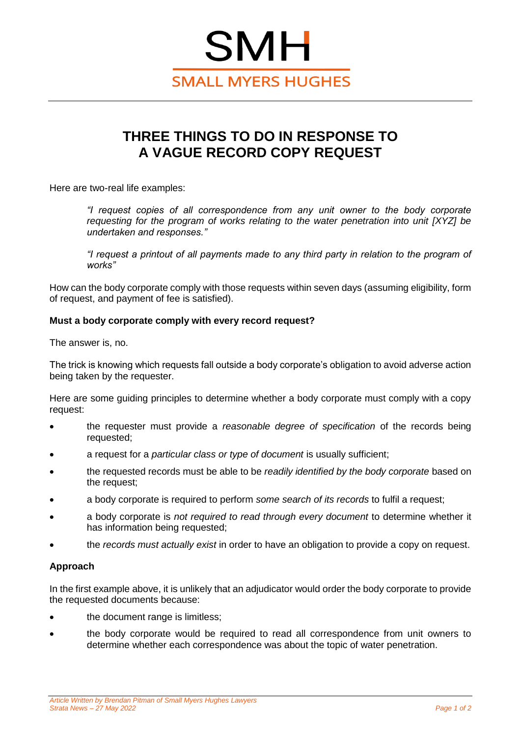

# **THREE THINGS TO DO IN RESPONSE TO A VAGUE RECORD COPY REQUEST**

Here are two-real life examples:

*"I request copies of all correspondence from any unit owner to the body corporate requesting for the program of works relating to the water penetration into unit [XYZ] be undertaken and responses."*

*"I request a printout of all payments made to any third party in relation to the program of works"*

How can the body corporate comply with those requests within seven days (assuming eligibility, form of request, and payment of fee is satisfied).

# **Must a body corporate comply with every record request?**

The answer is, no.

The trick is knowing which requests fall outside a body corporate's obligation to avoid adverse action being taken by the requester.

Here are some guiding principles to determine whether a body corporate must comply with a copy request:

- the requester must provide a *reasonable degree of specification* of the records being requested;
- a request for a *particular class or type of document* is usually sufficient;
- the requested records must be able to be *readily identified by the body corporate* based on the request;
- a body corporate is required to perform *some search of its records* to fulfil a request;
- a body corporate is *not required to read through every document* to determine whether it has information being requested;
- the *records must actually exist* in order to have an obligation to provide a copy on request.

## **Approach**

In the first example above, it is unlikely that an adjudicator would order the body corporate to provide the requested documents because:

- the document range is limitless;
- the body corporate would be required to read all correspondence from unit owners to determine whether each correspondence was about the topic of water penetration.